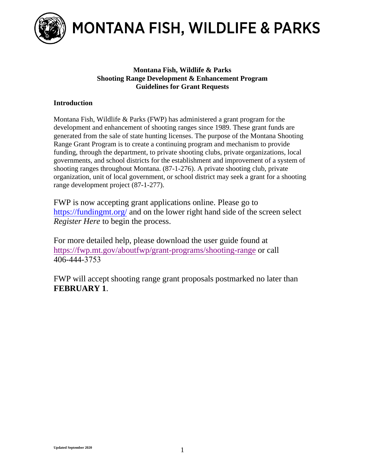

MONTANA FISH, WILDLIFE & PARKS

## **Montana Fish, Wildlife & Parks Shooting Range Development & Enhancement Program Guidelines for Grant Requests**

## **Introduction**

Montana Fish, Wildlife & Parks (FWP) has administered a grant program for the development and enhancement of shooting ranges since 1989. These grant funds are generated from the sale of state hunting licenses. The purpose of the Montana Shooting Range Grant Program is to create a continuing program and mechanism to provide funding, through the department, to private shooting clubs, private organizations, local governments, and school districts for the establishment and improvement of a system of shooting ranges throughout Montana. (87-1-276). A private shooting club, private organization, unit of local government, or school district may seek a grant for a shooting range development project (87-1-277).

FWP is now accepting grant applications online. Please go to <https://fundingmt.org/> and on the lower right hand side of the screen select *Register Here* to begin the process.

For more detailed help, please download the user guide found at <https://fwp.mt.gov/aboutfwp/grant-programs/shooting-range> or call 406-444-3753

FWP will accept shooting range grant proposals postmarked no later than **FEBRUARY 1**.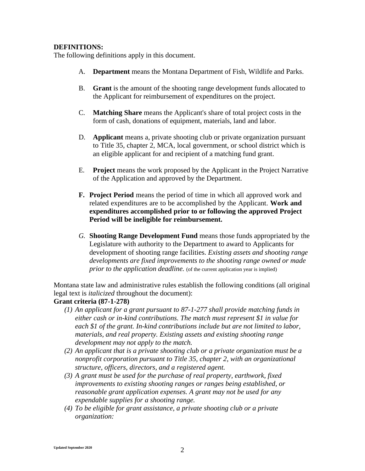#### **DEFINITIONS:**

The following definitions apply in this document.

- A. **Department** means the Montana Department of Fish, Wildlife and Parks.
- B. **Grant** is the amount of the shooting range development funds allocated to the Applicant for reimbursement of expenditures on the project.
- C. **Matching Share** means the Applicant's share of total project costs in the form of cash, donations of equipment, materials, land and labor.
- D. **Applicant** means a, private shooting club or private organization pursuant to Title 35, chapter 2, MCA, local government, or school district which is an eligible applicant for and recipient of a matching fund grant.
- E. **Project** means the work proposed by the Applicant in the Project Narrative of the Application and approved by the Department.
- **F. Project Period** means the period of time in which all approved work and related expenditures are to be accomplished by the Applicant. **Work and expenditures accomplished prior to or following the approved Project Period will be ineligible for reimbursement.**
- *G.* **Shooting Range Development Fund** means those funds appropriated by the Legislature with authority to the Department to award to Applicants for development of shooting range facilities. *Existing assets and shooting range developments are fixed improvements to the shooting range owned or made prior to the application deadline.* (of the current application year is implied)

Montana state law and administrative rules establish the following conditions (all original legal text is *italicized* throughout the document):

#### **Grant criteria (87-1-278)**

- *(1) An applicant for a grant pursuant to 87-1-277 shall provide matching funds in either cash or in-kind contributions. The match must represent \$1 in value for each \$1 of the grant. In-kind contributions include but are not limited to labor, materials, and real property. Existing assets and existing shooting range development may not apply to the match.*
- *(2) An applicant that is a private shooting club or a private organization must be a nonprofit corporation pursuant to Title 35, chapter 2, with an organizational structure, officers, directors, and a registered agent.*
- *(3) A grant must be used for the purchase of real property, earthwork, fixed improvements to existing shooting ranges or ranges being established, or reasonable grant application expenses. A grant may not be used for any expendable supplies for a shooting range.*
- *(4) To be eligible for grant assistance, a private shooting club or a private organization:*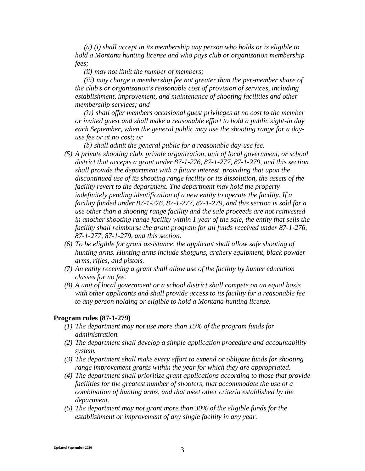*(a) (i) shall accept in its membership any person who holds or is eligible to hold a Montana hunting license and who pays club or organization membership fees;*

*(ii) may not limit the number of members;*

*(iii) may charge a membership fee not greater than the per-member share of the club's or organization's reasonable cost of provision of services, including establishment, improvement, and maintenance of shooting facilities and other membership services; and*

*(iv) shall offer members occasional guest privileges at no cost to the member or invited guest and shall make a reasonable effort to hold a public sight-in day each September, when the general public may use the shooting range for a dayuse fee or at no cost; or*

*(b) shall admit the general public for a reasonable day-use fee.*

- *(5) A private shooting club, private organization, unit of local government, or school district that accepts a grant under 87-1-276, 87-1-277, 87-1-279, and this section shall provide the department with a future interest, providing that upon the discontinued use of its shooting range facility or its dissolution, the assets of the facility revert to the department. The department may hold the property indefinitely pending identification of a new entity to operate the facility. If a facility funded under 87-1-276, 87-1-277, 87-1-279, and this section is sold for a use other than a shooting range facility and the sale proceeds are not reinvested in another shooting range facility within 1 year of the sale, the entity that sells the facility shall reimburse the grant program for all funds received under 87-1-276, 87-1-277, 87-1-279, and this section.*
- *(6) To be eligible for grant assistance, the applicant shall allow safe shooting of hunting arms. Hunting arms include shotguns, archery equipment, black powder arms, rifles, and pistols.*
- *(7) An entity receiving a grant shall allow use of the facility by hunter education classes for no fee.*
- *(8) A unit of local government or a school district shall compete on an equal basis with other applicants and shall provide access to its facility for a reasonable fee to any person holding or eligible to hold a Montana hunting license.*

#### **Program rules (87-1-279)**

- *(1) The department may not use more than 15% of the program funds for administration.*
- *(2) The department shall develop a simple application procedure and accountability system.*
- *(3) The department shall make every effort to expend or obligate funds for shooting range improvement grants within the year for which they are appropriated.*
- *(4) The department shall prioritize grant applications according to those that provide facilities for the greatest number of shooters, that accommodate the use of a combination of hunting arms, and that meet other criteria established by the department.*
- *(5) The department may not grant more than 30% of the eligible funds for the establishment or improvement of any single facility in any year.*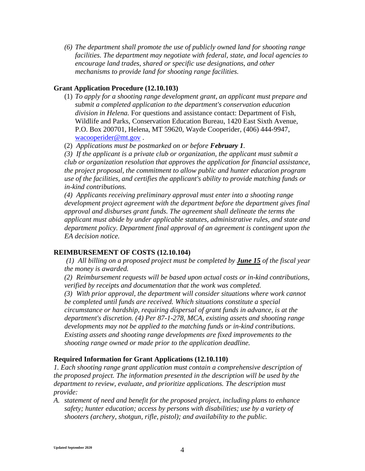*(6) The department shall promote the use of publicly owned land for shooting range facilities. The department may negotiate with federal, state, and local agencies to encourage land trades, shared or specific use designations, and other mechanisms to provide land for shooting range facilities.*

#### **Grant Application Procedure (12.10.103)**

- (1) *To apply for a shooting range development grant, an applicant must prepare and submit a completed application to the department's conservation education division in Helena.* For questions and assistance contact: Department of Fish, Wildlife and Parks, Conservation Education Bureau, 1420 East Sixth Avenue, P.O. Box 200701, Helena, MT 59620, Wayde Cooperider, (406) 444-9947, [wacooperider@mt.gov](mailto:wacooperider@mt.gov) .
- (2) *Applications must be postmarked on or before February 1.*

*(3) If the applicant is a private club or organization, the applicant must submit a club or organization resolution that approves the application for financial assistance, the project proposal, the commitment to allow public and hunter education program use of the facilities, and certifies the applicant's ability to provide matching funds or in-kind contributions.*

*(4) Applicants receiving preliminary approval must enter into a shooting range development project agreement with the department before the department gives final approval and disburses grant funds. The agreement shall delineate the terms the applicant must abide by under applicable statutes, administrative rules, and state and department policy. Department final approval of an agreement is contingent upon the EA decision notice.*

#### **REIMBURSEMENT OF COSTS (12.10.104)**

*(1) All billing on a proposed project must be completed by June 15 of the fiscal year the money is awarded.*

*(2) Reimbursement requests will be based upon actual costs or in-kind contributions, verified by receipts and documentation that the work was completed.*

*(3) With prior approval, the department will consider situations where work cannot be completed until funds are received. Which situations constitute a special circumstance or hardship, requiring dispersal of grant funds in advance, is at the department's discretion. (4) Per 87-1-278, MCA, existing assets and shooting range developments may not be applied to the matching funds or in-kind contributions. Existing assets and shooting range developments are fixed improvements to the shooting range owned or made prior to the application deadline.*

#### **Required Information for Grant Applications (12.10.110)**

*1. Each shooting range grant application must contain a comprehensive description of the proposed project. The information presented in the description will be used by the department to review, evaluate, and prioritize applications. The description must provide:*

*A. statement of need and benefit for the proposed project, including plans to enhance safety; hunter education; access by persons with disabilities; use by a variety of shooters (archery, shotgun, rifle, pistol); and availability to the public.*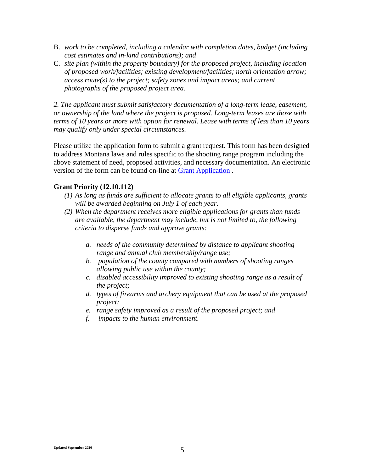- B. *work to be completed, including a calendar with completion dates, budget (including cost estimates and in-kind contributions); and*
- C. *site plan (within the property boundary) for the proposed project, including location of proposed work/facilities; existing development/facilities; north orientation arrow; access route(s) to the project; safety zones and impact areas; and current photographs of the proposed project area.*

*2. The applicant must submit satisfactory documentation of a long-term lease, easement, or ownership of the land where the project is proposed. Long-term leases are those with terms of 10 years or more with option for renewal. Lease with terms of less than 10 years may qualify only under special circumstances.*

Please utilize the application form to submit a grant request. This form has been designed to address Montana laws and rules specific to the shooting range program including the above statement of need, proposed activities, and necessary documentation. An electronic version of the form can be found on-line at [Grant Application](https://fwp.mt.gov/aboutfwp/grant-programs/shooting-range) .

### **Grant Priority (12.10.112)**

- *(1) As long as funds are sufficient to allocate grants to all eligible applicants, grants will be awarded beginning on July 1 of each year.*
- *(2) When the department receives more eligible applications for grants than funds are available, the department may include, but is not limited to, the following criteria to disperse funds and approve grants:*
	- *a. needs of the community determined by distance to applicant shooting range and annual club membership/range use;*
	- *b. population of the county compared with numbers of shooting ranges allowing public use within the county;*
	- *c. disabled accessibility improved to existing shooting range as a result of the project;*
	- *d. types of firearms and archery equipment that can be used at the proposed project;*
	- *e. range safety improved as a result of the proposed project; and*
	- *f. impacts to the human environment.*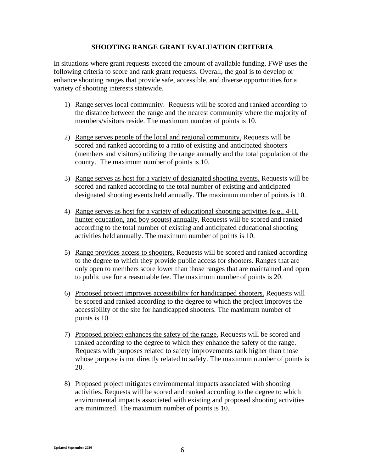#### **SHOOTING RANGE GRANT EVALUATION CRITERIA**

In situations where grant requests exceed the amount of available funding, FWP uses the following criteria to score and rank grant requests. Overall, the goal is to develop or enhance shooting ranges that provide safe, accessible, and diverse opportunities for a variety of shooting interests statewide.

- 1) Range serves local community. Requests will be scored and ranked according to the distance between the range and the nearest community where the majority of members/visitors reside. The maximum number of points is 10.
- 2) Range serves people of the local and regional community. Requests will be scored and ranked according to a ratio of existing and anticipated shooters (members and visitors) utilizing the range annually and the total population of the county. The maximum number of points is 10.
- 3) Range serves as host for a variety of designated shooting events. Requests will be scored and ranked according to the total number of existing and anticipated designated shooting events held annually. The maximum number of points is 10.
- 4) Range serves as host for a variety of educational shooting activities (e.g., 4-H, hunter education, and boy scouts) annually. Requests will be scored and ranked according to the total number of existing and anticipated educational shooting activities held annually. The maximum number of points is 10.
- 5) Range provides access to shooters. Requests will be scored and ranked according to the degree to which they provide public access for shooters. Ranges that are only open to members score lower than those ranges that are maintained and open to public use for a reasonable fee. The maximum number of points is 20.
- 6) Proposed project improves accessibility for handicapped shooters. Requests will be scored and ranked according to the degree to which the project improves the accessibility of the site for handicapped shooters. The maximum number of points is 10.
- 7) Proposed project enhances the safety of the range. Requests will be scored and ranked according to the degree to which they enhance the safety of the range. Requests with purposes related to safety improvements rank higher than those whose purpose is not directly related to safety. The maximum number of points is 20.
- 8) Proposed project mitigates environmental impacts associated with shooting activities. Requests will be scored and ranked according to the degree to which environmental impacts associated with existing and proposed shooting activities are minimized. The maximum number of points is 10.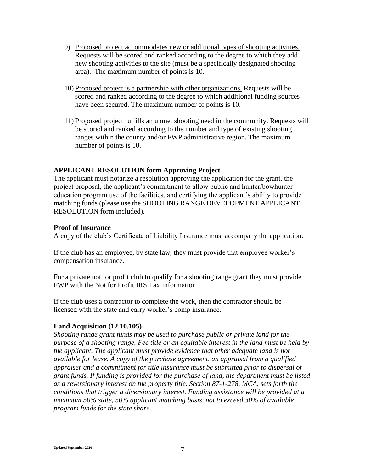- 9) Proposed project accommodates new or additional types of shooting activities. Requests will be scored and ranked according to the degree to which they add new shooting activities to the site (must be a specifically designated shooting area). The maximum number of points is 10.
- 10) Proposed project is a partnership with other organizations. Requests will be scored and ranked according to the degree to which additional funding sources have been secured. The maximum number of points is 10.
- 11) Proposed project fulfills an unmet shooting need in the community. Requests will be scored and ranked according to the number and type of existing shooting ranges within the county and/or FWP administrative region. The maximum number of points is 10.

#### **APPLICANT RESOLUTION form Approving Project**

The applicant must notarize a resolution approving the application for the grant, the project proposal, the applicant's commitment to allow public and hunter/bowhunter education program use of the facilities, and certifying the applicant's ability to provide matching funds (please use the SHOOTING RANGE DEVELOPMENT APPLICANT RESOLUTION form included).

#### **Proof of Insurance**

A copy of the club's Certificate of Liability Insurance must accompany the application.

If the club has an employee, by state law, they must provide that employee worker's compensation insurance.

For a private not for profit club to qualify for a shooting range grant they must provide FWP with the Not for Profit IRS Tax Information.

If the club uses a contractor to complete the work, then the contractor should be licensed with the state and carry worker's comp insurance.

#### **Land Acquisition (12.10.105)**

*Shooting range grant funds may be used to purchase public or private land for the purpose of a shooting range. Fee title or an equitable interest in the land must be held by the applicant. The applicant must provide evidence that other adequate land is not available for lease. A copy of the purchase agreement, an appraisal from a qualified appraiser and a commitment for title insurance must be submitted prior to dispersal of grant funds. If funding is provided for the purchase of land, the department must be listed as a reversionary interest on the property title. Section 87-1-278, MCA, sets forth the conditions that trigger a diversionary interest. Funding assistance will be provided at a maximum 50% state, 50% applicant matching basis, not to exceed 30% of available program funds for the state share.*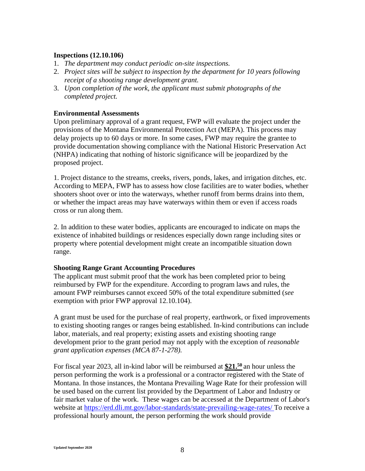#### **Inspections (12.10.106)**

- 1. *The department may conduct periodic on-site inspections.*
- 2. *Project sites will be subject to inspection by the department for 10 years following receipt of a shooting range development grant.*
- 3. *Upon completion of the work, the applicant must submit photographs of the completed project.*

#### **Environmental Assessments**

Upon preliminary approval of a grant request, FWP will evaluate the project under the provisions of the Montana Environmental Protection Act (MEPA). This process may delay projects up to 60 days or more. In some cases, FWP may require the grantee to provide documentation showing compliance with the National Historic Preservation Act (NHPA) indicating that nothing of historic significance will be jeopardized by the proposed project.

1. Project distance to the streams, creeks, rivers, ponds, lakes, and irrigation ditches, etc. According to MEPA, FWP has to assess how close facilities are to water bodies, whether shooters shoot over or into the waterways, whether runoff from berms drains into them, or whether the impact areas may have waterways within them or even if access roads cross or run along them.

2. In addition to these water bodies, applicants are encouraged to indicate on maps the existence of inhabited buildings or residences especially down range including sites or property where potential development might create an incompatible situation down range.

#### **Shooting Range Grant Accounting Procedures**

The applicant must submit proof that the work has been completed prior to being reimbursed by FWP for the expenditure. According to program laws and rules, the amount FWP reimburses cannot exceed 50% of the total expenditure submitted (*see* exemption with prior FWP approval 12.10.104).

A grant must be used for the purchase of real property, earthwork, or fixed improvements to existing shooting ranges or ranges being established. In-kind contributions can include labor, materials, and real property; existing assets and existing shooting range development prior to the grant period may not apply with the exception of *reasonable grant application expenses (MCA 87-1-278).*

For fiscal year 2023, all in-kind labor will be reimbursed at **\$21.<sup>50</sup>** an hour unless the person performing the work is a professional or a contractor registered with the State of Montana. In those instances, the Montana Prevailing Wage Rate for their profession will be used based on the current list provided by the Department of Labor and Industry or fair market value of the work. These wages can be accessed at the Department of Labor's website at<https://erd.dli.mt.gov/labor-standards/state-prevailing-wage-rates/> To receive a professional hourly amount, the person performing the work should provide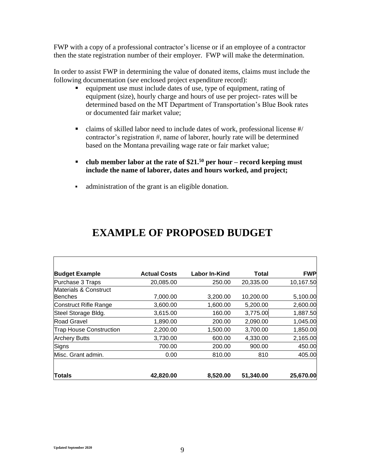FWP with a copy of a professional contractor's license or if an employee of a contractor then the state registration number of their employer. FWP will make the determination.

In order to assist FWP in determining the value of donated items, claims must include the following documentation (*see* enclosed project expenditure record):

- equipment use must include dates of use, type of equipment, rating of equipment (size), hourly charge and hours of use per project- rates will be determined based on the MT Department of Transportation's Blue Book rates or documented fair market value;
- claims of skilled labor need to include dates of work, professional license #/ contractor's registration #, name of laborer, hourly rate will be determined based on the Montana prevailing wage rate or fair market value;
- **club member labor at the rate of \$21.<sup>50</sup> per hour – record keeping must include the name of laborer, dates and hours worked, and project;**
- administration of the grant is an eligible donation.

| <b>Budget Example</b>          | <b>Actual Costs</b> | Labor In-Kind | Total     | <b>FWP</b> |
|--------------------------------|---------------------|---------------|-----------|------------|
| Purchase 3 Traps               | 20,085.00           | 250.00        | 20,335.00 | 10,167.50  |
| Materials & Construct          |                     |               |           |            |
| lBenches                       | 7,000.00            | 3,200.00      | 10,200.00 | 5,100.00   |
| Construct Rifle Range          | 3,600.00            | 1,600.00      | 5,200.00  | 2,600.00   |
| Steel Storage Bldg.            | 3,615.00            | 160.00        | 3,775.00  | 1,887.50   |
| <b>Road Gravel</b>             | 1,890.00            | 200.00        | 2,090.00  | 1,045.00   |
| <b>Trap House Construction</b> | 2,200.00            | 1,500.00      | 3,700.00  | 1,850.00   |
| <b>Archery Butts</b>           | 3,730.00            | 600.00        | 4,330.00  | 2,165.00   |
| Signs                          | 700.00              | 200.00        | 900.00    | 450.00     |
| Misc. Grant admin.             | 0.00                | 810.00        | 810       | 405.00     |
| <b>Totals</b>                  | 42,820.00           | 8,520.00      | 51,340.00 | 25,670.00  |

# **EXAMPLE OF PROPOSED BUDGET**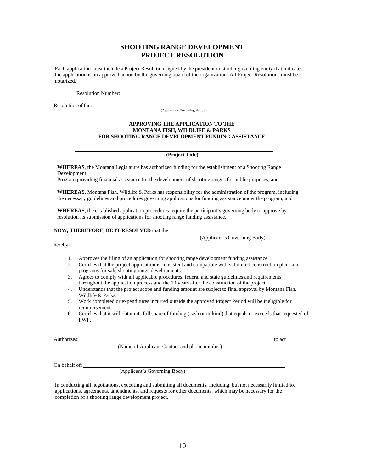#### **SHOOTING RANGE DEVELOPMENT PROJECT RESOLUTION**

Each application must include a Project Resolution signed by the president or similar governing entity that indicates the application is an approved action by the governing board of the organization. All Project Resolutions must be notarized.

Resolution Number:

Resolution of the:

(Applicant's Governing Body)

#### **APPROVING THE APPLICATION TO THE MONTANA FISH, WILDLIFE & PARKS FOR SHOOTING RANGE DEVELOPMENT FUNDING ASSISTANCE**

**(Project Title)**

**WHEREAS**, the Montana Legislature has authorized funding for the establishment of a Shooting Range Development

Program providing financial assistance for the development of shooting ranges for public purposes; and

**WHEREAS**, Montana Fish, Wildlife & Parks has responsibility for the administration of the program, including the necessary guidelines and procedures governing applications for funding assistance under the program; and

**WHEREAS**, the established application procedures require the participant's governing body to approve by resolution its submission of applications for shooting range funding assistance,

#### **NOW, THEREFORE, BE IT RESOLVED** that the

(Applicant's Governing Body)

hereby:

- 1. Approves the filing of an application for shooting range development funding assistance.
- 2. Certifies that the project application is consistent and compatible with submitted construction plans and programs for safe shooting range developments.
- 3. Agrees to comply with all applicable procedures, federal and state guidelines and requirements throughout the application process and the 10 years after the construction of the project.
- 4. Understands that the project scope and funding amount are subject to final approval by Montana Fish, Wildlife & Parks.
- 5. Work completed or expenditures incurred outside the approved Project Period will be ineligible for reimbursement.
- 6. Certifies that it will obtain its full share of funding (cash or in-kind) that equals or exceeds that requested of FWP.

(Name of Applicant Contact and phone number)

On behalf of:

(Applicant's Governing Body)

In conducting all negotiations, executing and submitting all documents, including, but not necessarily limited to, applications, agreements, amendments, and requests for other documents, which may be necessary for the completion of a shooting range development project.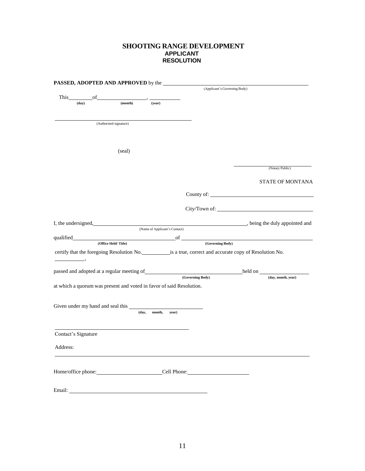#### **SHOOTING RANGE DEVELOPMENT APPLICANT RESOLUTION**

|                                                                                             |                        |                               |                  | (Applicant's Governing Body)                                                                                   |
|---------------------------------------------------------------------------------------------|------------------------|-------------------------------|------------------|----------------------------------------------------------------------------------------------------------------|
| This of                                                                                     |                        |                               |                  |                                                                                                                |
| $(\bf{day})$                                                                                | (month)                | (year)                        |                  |                                                                                                                |
|                                                                                             |                        |                               |                  |                                                                                                                |
|                                                                                             | (Authorized signature) |                               |                  |                                                                                                                |
|                                                                                             |                        |                               |                  |                                                                                                                |
|                                                                                             |                        |                               |                  |                                                                                                                |
|                                                                                             |                        |                               |                  |                                                                                                                |
|                                                                                             | (seal)                 |                               |                  |                                                                                                                |
|                                                                                             |                        |                               |                  | (Notary Public)                                                                                                |
|                                                                                             |                        |                               |                  | STATE OF MONTANA                                                                                               |
|                                                                                             |                        |                               |                  |                                                                                                                |
|                                                                                             |                        |                               |                  |                                                                                                                |
|                                                                                             |                        |                               |                  |                                                                                                                |
|                                                                                             |                        |                               |                  | I, the undersigned, https://www.factbook.com/integrations/integrations/integrations/integrations/integrations/ |
|                                                                                             |                        | (Name of Applicant's Contact) |                  |                                                                                                                |
|                                                                                             |                        |                               |                  | qualified of Coverning Body (Office Held/Title) of Coverning Body (Governing Body)                             |
|                                                                                             |                        |                               |                  | certify that the foregoing Resolution No. is a true, correct and accurate copy of Resolution No.               |
|                                                                                             |                        |                               |                  |                                                                                                                |
|                                                                                             |                        |                               |                  |                                                                                                                |
|                                                                                             |                        |                               | (Governing Body) | (day, month, year)                                                                                             |
|                                                                                             |                        |                               |                  |                                                                                                                |
|                                                                                             |                        |                               |                  |                                                                                                                |
|                                                                                             |                        |                               |                  |                                                                                                                |
|                                                                                             |                        | (day, month,<br>year)         |                  |                                                                                                                |
|                                                                                             |                        |                               |                  |                                                                                                                |
| at which a quorum was present and voted in favor of said Resolution.<br>Contact's Signature |                        |                               |                  |                                                                                                                |
|                                                                                             |                        |                               |                  |                                                                                                                |
| Address:                                                                                    |                        |                               |                  |                                                                                                                |
| Home/office phone: Cell Phone: Cell Phone:                                                  |                        |                               |                  |                                                                                                                |
|                                                                                             |                        |                               |                  |                                                                                                                |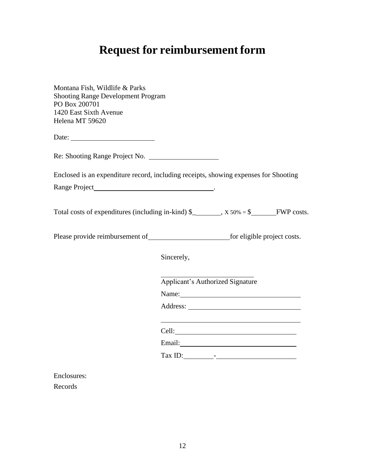# **Request for reimbursement form**

| Montana Fish, Wildlife & Parks<br><b>Shooting Range Development Program</b><br>PO Box 200701<br>1420 East Sixth Avenue<br>Helena MT 59620 |            |                                                                                                                                                                                                                                |  |
|-------------------------------------------------------------------------------------------------------------------------------------------|------------|--------------------------------------------------------------------------------------------------------------------------------------------------------------------------------------------------------------------------------|--|
|                                                                                                                                           |            |                                                                                                                                                                                                                                |  |
| Re: Shooting Range Project No.                                                                                                            |            |                                                                                                                                                                                                                                |  |
| Enclosed is an expenditure record, including receipts, showing expenses for Shooting                                                      |            |                                                                                                                                                                                                                                |  |
|                                                                                                                                           |            |                                                                                                                                                                                                                                |  |
| Total costs of expenditures (including in-kind) $\frac{1}{2}$ , x 50% = $\frac{1}{2}$ FWP costs.                                          |            |                                                                                                                                                                                                                                |  |
|                                                                                                                                           |            |                                                                                                                                                                                                                                |  |
|                                                                                                                                           | Sincerely, |                                                                                                                                                                                                                                |  |
|                                                                                                                                           |            | <b>Applicant's Authorized Signature</b>                                                                                                                                                                                        |  |
|                                                                                                                                           |            | Name: Name and the set of the set of the set of the set of the set of the set of the set of the set of the set of the set of the set of the set of the set of the set of the set of the set of the set of the set of the set o |  |
|                                                                                                                                           |            |                                                                                                                                                                                                                                |  |
|                                                                                                                                           |            | <u> 1989 - Johann Stein, mars an de Brasilia (b. 1989)</u>                                                                                                                                                                     |  |
|                                                                                                                                           |            | Email: <u>Alexander School (2003)</u>                                                                                                                                                                                          |  |
|                                                                                                                                           |            | $\text{Tax ID:}\n \begin{array}{c}\n -\n \end{array}$                                                                                                                                                                          |  |
|                                                                                                                                           |            |                                                                                                                                                                                                                                |  |

Enclosures: Records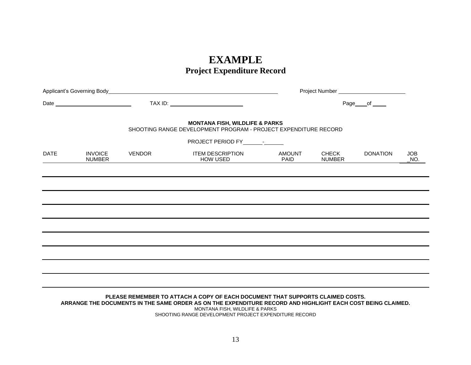# **EXAMPLE Project Expenditure Record**

| Page____of _____                                                                                                                                |  |  |  |  |  |  |  |
|-------------------------------------------------------------------------------------------------------------------------------------------------|--|--|--|--|--|--|--|
| <b>MONTANA FISH, WILDLIFE &amp; PARKS</b><br>SHOOTING RANGE DEVELOPMENT PROGRAM - PROJECT EXPENDITURE RECORD<br>PROJECT PERIOD FY _____________ |  |  |  |  |  |  |  |
| <b>AMOUNT</b><br><b>CHECK</b><br><b>DONATION</b><br><b>JOB</b><br>PAID<br><b>NUMBER</b><br>$N$ O.                                               |  |  |  |  |  |  |  |
|                                                                                                                                                 |  |  |  |  |  |  |  |
|                                                                                                                                                 |  |  |  |  |  |  |  |
|                                                                                                                                                 |  |  |  |  |  |  |  |
|                                                                                                                                                 |  |  |  |  |  |  |  |
|                                                                                                                                                 |  |  |  |  |  |  |  |
|                                                                                                                                                 |  |  |  |  |  |  |  |
|                                                                                                                                                 |  |  |  |  |  |  |  |
|                                                                                                                                                 |  |  |  |  |  |  |  |
|                                                                                                                                                 |  |  |  |  |  |  |  |

**PLEASE REMEMBER TO ATTACH A COPY OF EACH DOCUMENT THAT SUPPORTS CLAIMED COSTS. ARRANGE THE DOCUMENTS IN THE SAME ORDER AS ON THE EXPENDITURE RECORD AND HIGHLIGHT EACH COST BEING CLAIMED.** MONTANA FISH, WILDLIFE & PARKS SHOOTING RANGE DEVELOPMENT PROJECT EXPENDITURE RECORD